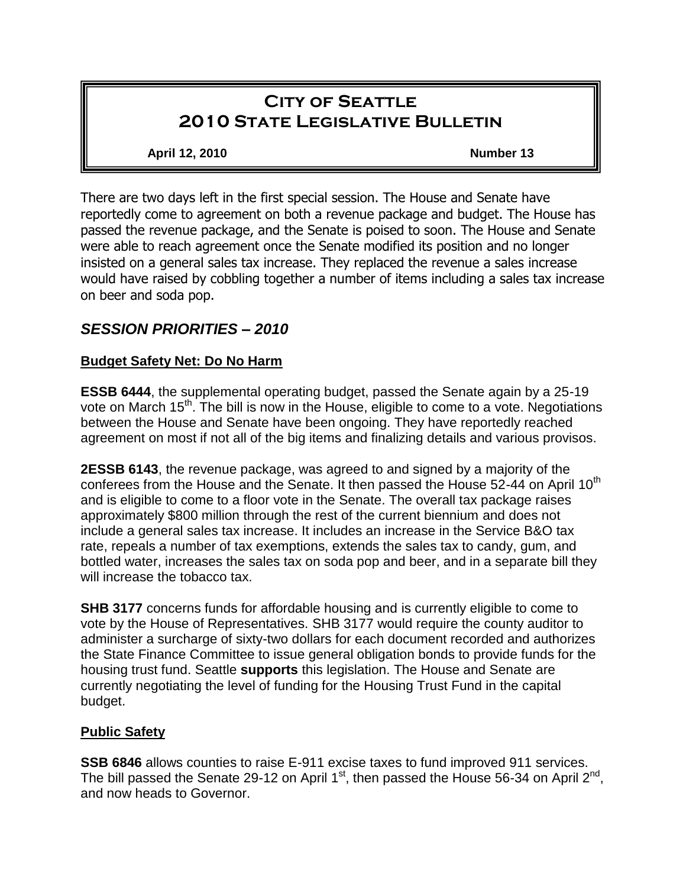# **City of Seattle 2010 State Legislative Bulletin**

#### **April 12, 2010 Number 13**

There are two days left in the first special session. The House and Senate have reportedly come to agreement on both a revenue package and budget. The House has passed the revenue package, and the Senate is poised to soon. The House and Senate were able to reach agreement once the Senate modified its position and no longer insisted on a general sales tax increase. They replaced the revenue a sales increase would have raised by cobbling together a number of items including a sales tax increase on beer and soda pop.

# *SESSION PRIORITIES – 2010*

#### **Budget Safety Net: Do No Harm**

**ESSB 6444**, the supplemental operating budget, passed the Senate again by a 25-19 vote on March 15<sup>th</sup>. The bill is now in the House, eligible to come to a vote. Negotiations between the House and Senate have been ongoing. They have reportedly reached agreement on most if not all of the big items and finalizing details and various provisos.

**2ESSB 6143**, the revenue package, was agreed to and signed by a majority of the conferees from the House and the Senate. It then passed the House 52-44 on April 10<sup>th</sup> and is eligible to come to a floor vote in the Senate. The overall tax package raises approximately \$800 million through the rest of the current biennium and does not include a general sales tax increase. It includes an increase in the Service B&O tax rate, repeals a number of tax exemptions, extends the sales tax to candy, gum, and bottled water, increases the sales tax on soda pop and beer, and in a separate bill they will increase the tobacco tax.

**SHB 3177** concerns funds for affordable housing and is currently eligible to come to vote by the House of Representatives. SHB 3177 would require the county auditor to administer a surcharge of sixty-two dollars for each document recorded and authorizes the State Finance Committee to issue general obligation bonds to provide funds for the housing trust fund. Seattle **supports** this legislation. The House and Senate are currently negotiating the level of funding for the Housing Trust Fund in the capital budget.

#### **Public Safety**

**SSB 6846** allows counties to raise E-911 excise taxes to fund improved 911 services. The bill passed the Senate 29-12 on April 1<sup>st</sup>, then passed the House 56-34 on April 2<sup>nd</sup>, and now heads to Governor.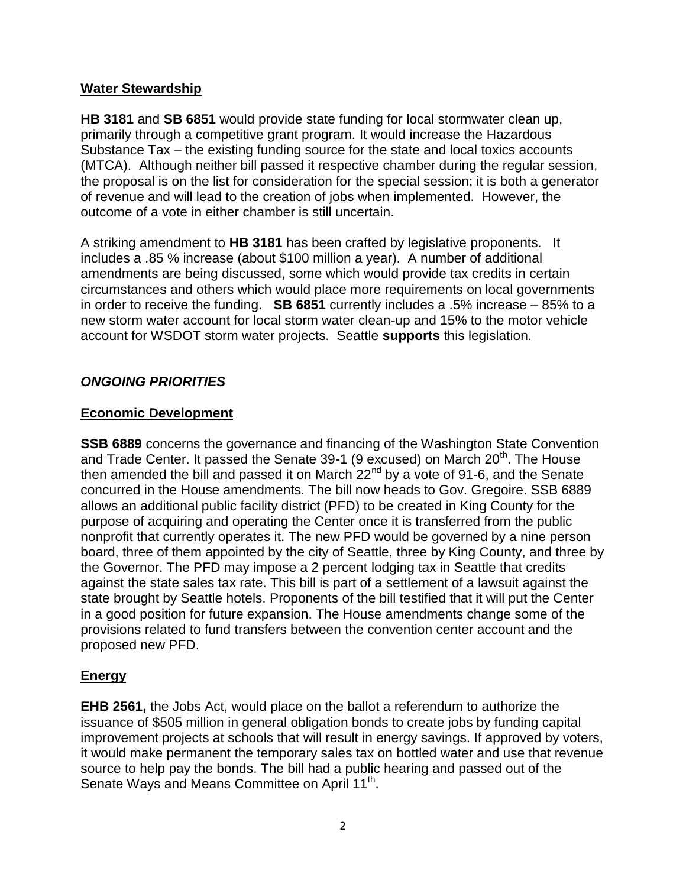#### **Water Stewardship**

**HB 3181** and **SB 6851** would provide state funding for local stormwater clean up, primarily through a competitive grant program. It would increase the Hazardous Substance Tax – the existing funding source for the state and local toxics accounts (MTCA). Although neither bill passed it respective chamber during the regular session, the proposal is on the list for consideration for the special session; it is both a generator of revenue and will lead to the creation of jobs when implemented. However, the outcome of a vote in either chamber is still uncertain.

A striking amendment to **HB 3181** has been crafted by legislative proponents. It includes a .85 % increase (about \$100 million a year). A number of additional amendments are being discussed, some which would provide tax credits in certain circumstances and others which would place more requirements on local governments in order to receive the funding. **SB 6851** currently includes a .5% increase – 85% to a new storm water account for local storm water clean-up and 15% to the motor vehicle account for WSDOT storm water projects. Seattle **supports** this legislation.

# *ONGOING PRIORITIES*

# **Economic Development**

**SSB 6889** concerns the governance and financing of the Washington State Convention and Trade Center. It passed the Senate 39-1 (9 excused) on March  $20<sup>th</sup>$ . The House then amended the bill and passed it on March  $22^{nd}$  by a vote of 91-6, and the Senate concurred in the House amendments. The bill now heads to Gov. Gregoire. SSB 6889 allows an additional public facility district (PFD) to be created in King County for the purpose of acquiring and operating the Center once it is transferred from the public nonprofit that currently operates it. The new PFD would be governed by a nine person board, three of them appointed by the city of Seattle, three by King County, and three by the Governor. The PFD may impose a 2 percent lodging tax in Seattle that credits against the state sales tax rate. This bill is part of a settlement of a lawsuit against the state brought by Seattle hotels. Proponents of the bill testified that it will put the Center in a good position for future expansion. The House amendments change some of the provisions related to fund transfers between the convention center account and the proposed new PFD.

# **Energy**

**EHB 2561,** the Jobs Act, would place on the ballot a referendum to authorize the issuance of \$505 million in general obligation bonds to create jobs by funding capital improvement projects at schools that will result in energy savings. If approved by voters, it would make permanent the temporary sales tax on bottled water and use that revenue source to help pay the bonds. The bill had a public hearing and passed out of the Senate Ways and Means Committee on April 11<sup>th</sup>.